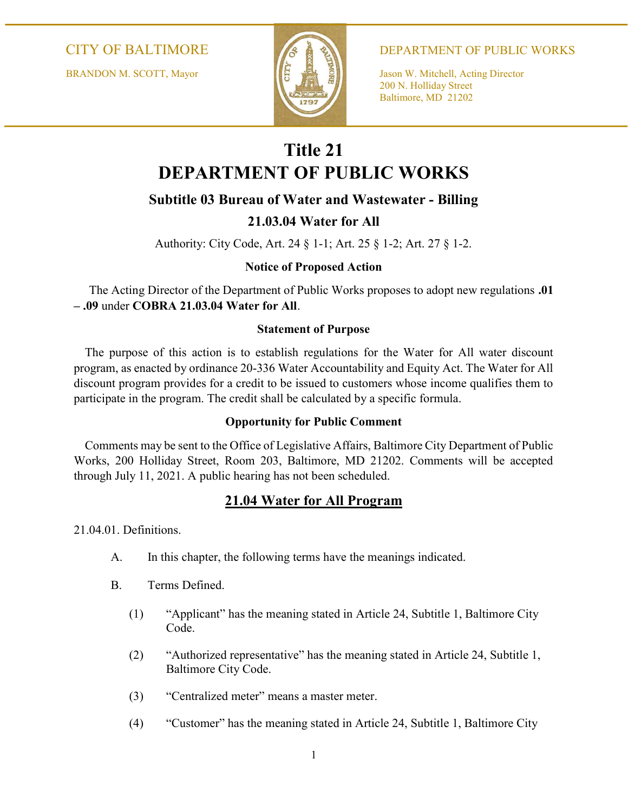BRANDON M. SCOTT, Mayor Jason W. Mitchell, Acting Director



CITY OF BALTIMORE A A B DEPARTMENT OF PUBLIC WORKS

 200 N. Holliday Street Baltimore, MD 21202

# Title 21 DEPARTMENT OF PUBLIC WORKS

# Subtitle 03 Bureau of Water and Wastewater - Billing

# 21.03.04 Water for All

Authority: City Code, Art. 24 § 1-1; Art. 25 § 1-2; Art. 27 § 1-2.

# Notice of Proposed Action

 The Acting Director of the Department of Public Works proposes to adopt new regulations .01 – .09 under COBRA 21.03.04 Water for All.

### Statement of Purpose

The purpose of this action is to establish regulations for the Water for All water discount program, as enacted by ordinance 20-336 Water Accountability and Equity Act. The Water for All discount program provides for a credit to be issued to customers whose income qualifies them to participate in the program. The credit shall be calculated by a specific formula.

# Opportunity for Public Comment

Comments may be sent to the Office of Legislative Affairs, Baltimore City Department of Public Works, 200 Holliday Street, Room 203, Baltimore, MD 21202. Comments will be accepted through July 11, 2021. A public hearing has not been scheduled.

# 21.04 Water for All Program

21.04.01. Definitions.

- A. In this chapter, the following terms have the meanings indicated.
- B. Terms Defined.
	- (1) "Applicant" has the meaning stated in Article 24, Subtitle 1, Baltimore City Code.
	- (2) "Authorized representative" has the meaning stated in Article 24, Subtitle 1, Baltimore City Code.
	- (3) "Centralized meter" means a master meter.
	- (4) "Customer" has the meaning stated in Article 24, Subtitle 1, Baltimore City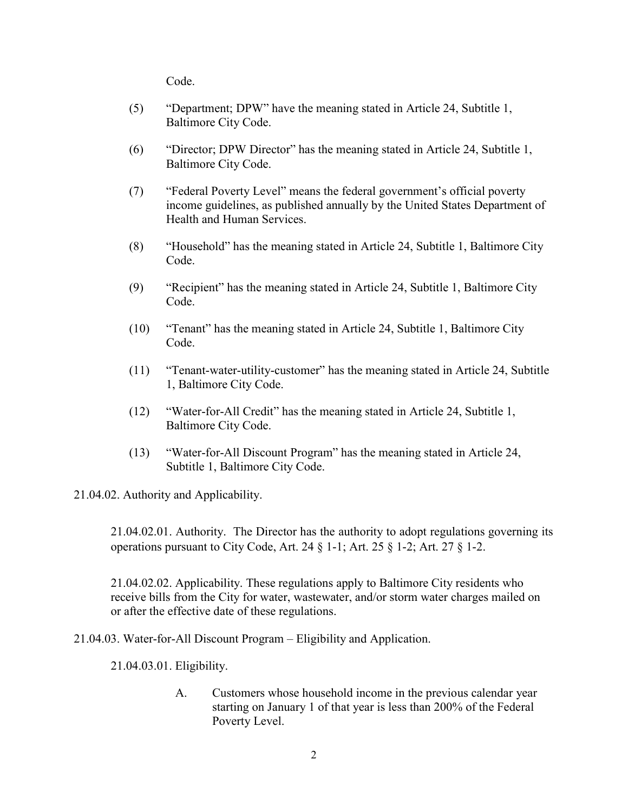Code.

- (5) "Department; DPW" have the meaning stated in Article 24, Subtitle 1, Baltimore City Code.
- (6) "Director; DPW Director" has the meaning stated in Article 24, Subtitle 1, Baltimore City Code.
- (7) "Federal Poverty Level" means the federal government's official poverty income guidelines, as published annually by the United States Department of Health and Human Services.
- (8) "Household" has the meaning stated in Article 24, Subtitle 1, Baltimore City Code.
- (9) "Recipient" has the meaning stated in Article 24, Subtitle 1, Baltimore City Code.
- (10) "Tenant" has the meaning stated in Article 24, Subtitle 1, Baltimore City Code.
- (11) "Tenant-water-utility-customer" has the meaning stated in Article 24, Subtitle 1, Baltimore City Code.
- (12) "Water-for-All Credit" has the meaning stated in Article 24, Subtitle 1, Baltimore City Code.
- (13) "Water-for-All Discount Program" has the meaning stated in Article 24, Subtitle 1, Baltimore City Code.

21.04.02. Authority and Applicability.

21.04.02.01. Authority. The Director has the authority to adopt regulations governing its operations pursuant to City Code, Art. 24 § 1-1; Art. 25 § 1-2; Art. 27 § 1-2.

21.04.02.02. Applicability. These regulations apply to Baltimore City residents who receive bills from the City for water, wastewater, and/or storm water charges mailed on or after the effective date of these regulations.

21.04.03. Water-for-All Discount Program – Eligibility and Application.

21.04.03.01. Eligibility.

A. Customers whose household income in the previous calendar year starting on January 1 of that year is less than 200% of the Federal Poverty Level.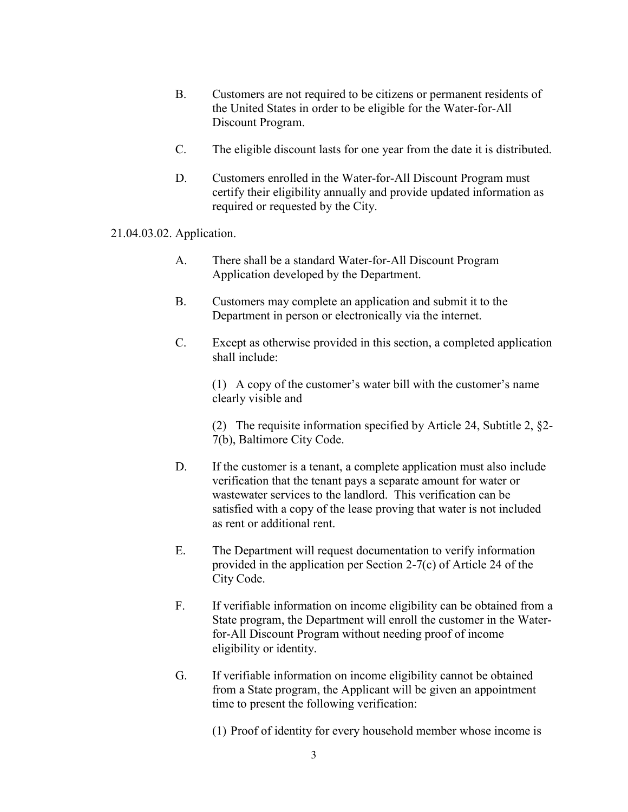- B. Customers are not required to be citizens or permanent residents of the United States in order to be eligible for the Water-for-All Discount Program.
- C. The eligible discount lasts for one year from the date it is distributed.
- D. Customers enrolled in the Water-for-All Discount Program must certify their eligibility annually and provide updated information as required or requested by the City.

#### 21.04.03.02. Application.

- A. There shall be a standard Water-for-All Discount Program Application developed by the Department.
- B. Customers may complete an application and submit it to the Department in person or electronically via the internet.
- C. Except as otherwise provided in this section, a completed application shall include:

 (1) A copy of the customer's water bill with the customer's name clearly visible and

 (2) The requisite information specified by Article 24, Subtitle 2, §2- 7(b), Baltimore City Code.

- D. If the customer is a tenant, a complete application must also include verification that the tenant pays a separate amount for water or wastewater services to the landlord. This verification can be satisfied with a copy of the lease proving that water is not included as rent or additional rent.
- E. The Department will request documentation to verify information provided in the application per Section 2-7(c) of Article 24 of the City Code.
- F. If verifiable information on income eligibility can be obtained from a State program, the Department will enroll the customer in the Waterfor-All Discount Program without needing proof of income eligibility or identity.
- G. If verifiable information on income eligibility cannot be obtained from a State program, the Applicant will be given an appointment time to present the following verification:
	- (1) Proof of identity for every household member whose income is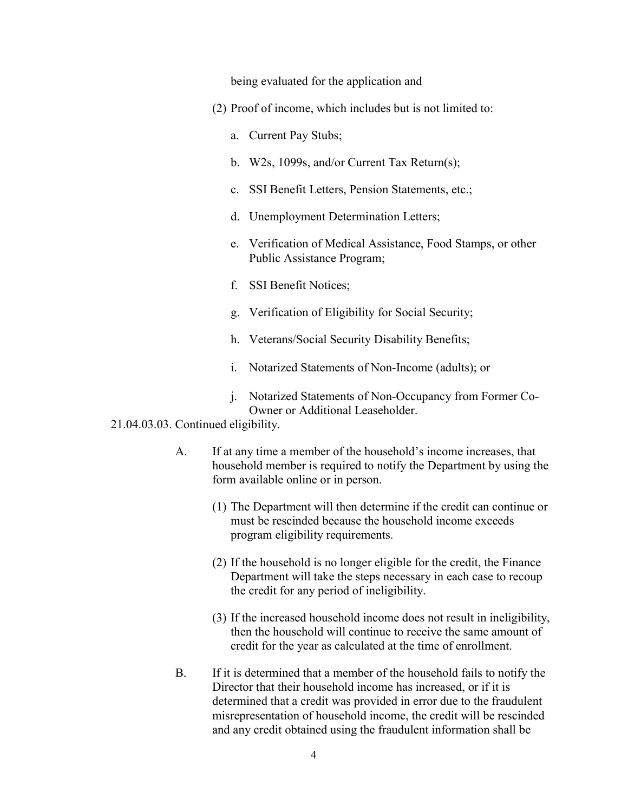being evaluated for the application and

- (2) Proof of income, which includes but is not limited to:
	- a. Current Pay Stubs;
	- b. W2s, 1099s, and/or Current Tax Return(s);
	- c. SSI Benefit Letters, Pension Statements, etc.;
	- d. Unemployment Determination Letters;
	- e. Verification of Medical Assistance, Food Stamps, or other Public Assistance Program;
	- f. SSI Benefit Notices;
	- g. Verification of Eligibility for Social Security;
	- h. Veterans/Social Security Disability Benefits;
	- i. Notarized Statements of Non-Income (adults); or
	- j. Notarized Statements of Non-Occupancy from Former Co-Owner or Additional Leaseholder.

#### 21.04.03.03. Continued eligibility.

- A. If at any time a member of the household's income increases, that household member is required to notify the Department by using the form available online or in person.
	- (1) The Department will then determine if the credit can continue or must be rescinded because the household income exceeds program eligibility requirements.
	- (2) If the household is no longer eligible for the credit, the Finance Department will take the steps necessary in each case to recoup the credit for any period of ineligibility.
	- (3) If the increased household income does not result in ineligibility, then the household will continue to receive the same amount of credit for the year as calculated at the time of enrollment.
- B. If it is determined that a member of the household fails to notify the Director that their household income has increased, or if it is determined that a credit was provided in error due to the fraudulent misrepresentation of household income, the credit will be rescinded and any credit obtained using the fraudulent information shall be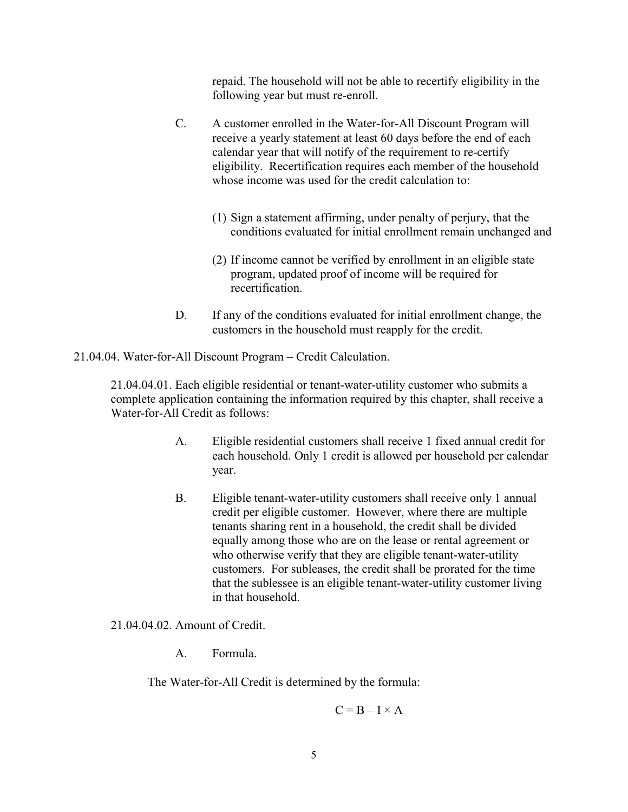repaid. The household will not be able to recertify eligibility in the following year but must re-enroll.

- C. A customer enrolled in the Water-for-All Discount Program will receive a yearly statement at least 60 days before the end of each calendar year that will notify of the requirement to re-certify eligibility. Recertification requires each member of the household whose income was used for the credit calculation to:
	- (1) Sign a statement affirming, under penalty of perjury, that the conditions evaluated for initial enrollment remain unchanged and
	- (2) If income cannot be verified by enrollment in an eligible state program, updated proof of income will be required for recertification.
- D. If any of the conditions evaluated for initial enrollment change, the customers in the household must reapply for the credit.

21.04.04. Water-for-All Discount Program – Credit Calculation.

21.04.04.01. Each eligible residential or tenant-water-utility customer who submits a complete application containing the information required by this chapter, shall receive a Water-for-All Credit as follows:

- A. Eligible residential customers shall receive 1 fixed annual credit for each household. Only 1 credit is allowed per household per calendar year.
- B. Eligible tenant-water-utility customers shall receive only 1 annual credit per eligible customer. However, where there are multiple tenants sharing rent in a household, the credit shall be divided equally among those who are on the lease or rental agreement or who otherwise verify that they are eligible tenant-water-utility customers. For subleases, the credit shall be prorated for the time that the sublessee is an eligible tenant-water-utility customer living in that household.

21.04.04.02. Amount of Credit.

A. Formula.

The Water-for-All Credit is determined by the formula:

$$
C = B - I \times A
$$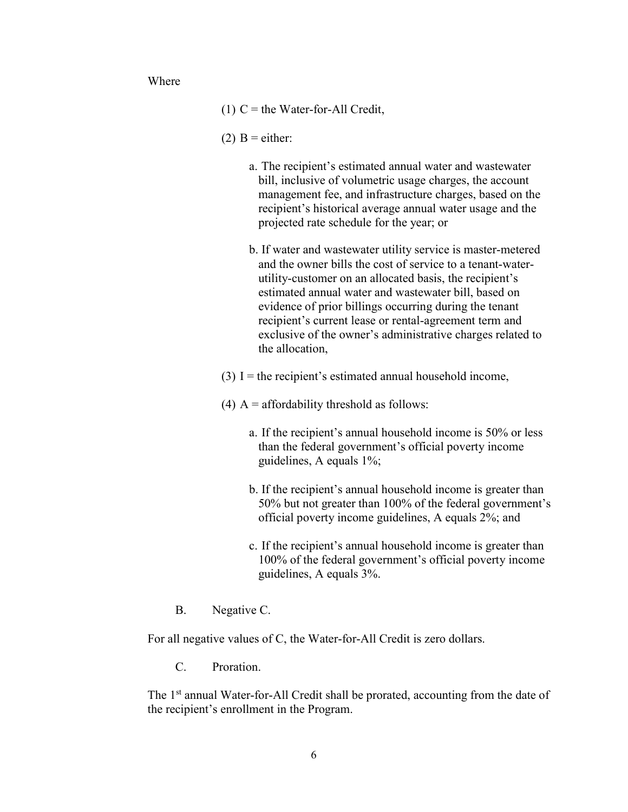Where

- (1)  $C =$  the Water-for-All Credit,
- (2)  $B =$  either:
	- a. The recipient's estimated annual water and wastewater bill, inclusive of volumetric usage charges, the account management fee, and infrastructure charges, based on the recipient's historical average annual water usage and the projected rate schedule for the year; or
	- b. If water and wastewater utility service is master-metered and the owner bills the cost of service to a tenant-waterutility-customer on an allocated basis, the recipient's estimated annual water and wastewater bill, based on evidence of prior billings occurring during the tenant recipient's current lease or rental-agreement term and exclusive of the owner's administrative charges related to the allocation,
- (3) I = the recipient's estimated annual household income,
- (4)  $A =$  affordability threshold as follows:
	- a. If the recipient's annual household income is 50% or less than the federal government's official poverty income guidelines, A equals 1%;
	- b. If the recipient's annual household income is greater than 50% but not greater than 100% of the federal government's official poverty income guidelines, A equals 2%; and
	- c. If the recipient's annual household income is greater than 100% of the federal government's official poverty income guidelines, A equals 3%.
- B. Negative C.

For all negative values of C, the Water-for-All Credit is zero dollars.

C. Proration.

The 1<sup>st</sup> annual Water-for-All Credit shall be prorated, accounting from the date of the recipient's enrollment in the Program.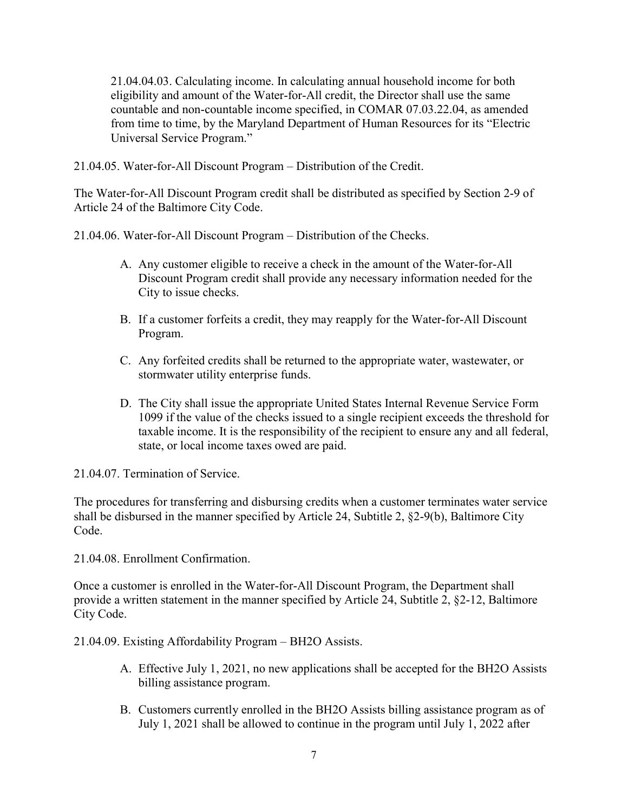21.04.04.03. Calculating income. In calculating annual household income for both eligibility and amount of the Water-for-All credit, the Director shall use the same countable and non-countable income specified, in COMAR 07.03.22.04, as amended from time to time, by the Maryland Department of Human Resources for its "Electric Universal Service Program."

21.04.05. Water-for-All Discount Program – Distribution of the Credit.

The Water-for-All Discount Program credit shall be distributed as specified by Section 2-9 of Article 24 of the Baltimore City Code.

21.04.06. Water-for-All Discount Program – Distribution of the Checks.

- A. Any customer eligible to receive a check in the amount of the Water-for-All Discount Program credit shall provide any necessary information needed for the City to issue checks.
- B. If a customer forfeits a credit, they may reapply for the Water-for-All Discount Program.
- C. Any forfeited credits shall be returned to the appropriate water, wastewater, or stormwater utility enterprise funds.
- D. The City shall issue the appropriate United States Internal Revenue Service Form 1099 if the value of the checks issued to a single recipient exceeds the threshold for taxable income. It is the responsibility of the recipient to ensure any and all federal, state, or local income taxes owed are paid.

21.04.07. Termination of Service.

The procedures for transferring and disbursing credits when a customer terminates water service shall be disbursed in the manner specified by Article 24, Subtitle 2, §2-9(b), Baltimore City Code.

21.04.08. Enrollment Confirmation.

Once a customer is enrolled in the Water-for-All Discount Program, the Department shall provide a written statement in the manner specified by Article 24, Subtitle 2, §2-12, Baltimore City Code.

21.04.09. Existing Affordability Program – BH2O Assists.

- A. Effective July 1, 2021, no new applications shall be accepted for the BH2O Assists billing assistance program.
- B. Customers currently enrolled in the BH2O Assists billing assistance program as of July 1, 2021 shall be allowed to continue in the program until July 1, 2022 after